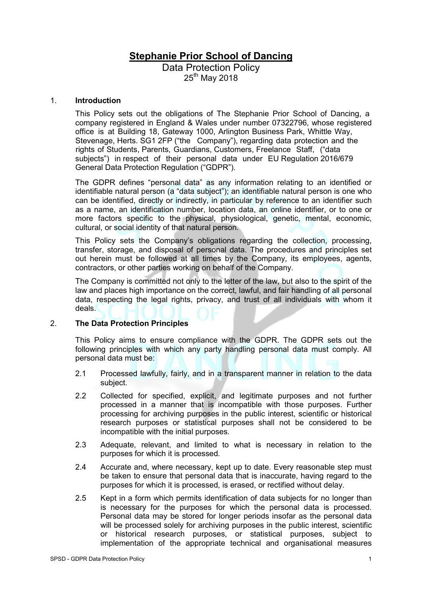# **Stephanie Prior School of Dancing**

Data Protection Policy 25<sup>th</sup> May 2018

#### 1. **Introduction**

This Policy sets out the obligations of The Stephanie Prior School of Dancing, a company registered in England & Wales under number 07322796, whose registered office is at Building 18, Gateway 1000, Arlington Business Park, Whittle Way, Stevenage, Herts. SG1 2FP ("the Company"), regarding data protection and the rights of Students, Parents, Guardians, Customers, Freelance Staff, ("data subjects") in respect of their personal data under EU Regulation 2016/679 General Data Protection Regulation ("GDPR").

The GDPR defines "personal data" as any information relating to an identified or identifiable natural person (a "data subject"); an identifiable natural person is one who can be identified, directly or indirectly, in particular by reference to an identifier such as a name, an identification number, location data, an online identifier, or to one or more factors specific to the physical, physiological, genetic, mental, economic, cultural, or social identity of that natural person.

This Policy sets the Company's obligations regarding the collection, processing, transfer, storage, and disposal of personal data. The procedures and principles set out herein must be followed at all times by the Company, its employees, agents, contractors, or other parties working on behalf of the Company.

The Company is committed not only to the letter of the law, but also to the spirit of the law and places high importance on the correct, lawful, and fair handling of all personal data, respecting the legal rights, privacy, and trust of all individuals with whom it deals.

# 2. **The Data Protection Principles**

This Policy aims to ensure compliance with the GDPR. The GDPR sets out the following principles with which any party handling personal data must comply. All personal data must be:

- 2.1 Processed lawfully, fairly, and in a transparent manner in relation to the data subject.
- 2.2 Collected for specified, explicit, and legitimate purposes and not further processed in a manner that is incompatible with those purposes. Further processing for archiving purposes in the public interest, scientific or historical research purposes or statistical purposes shall not be considered to be incompatible with the initial purposes.
- 2.3 Adequate, relevant, and limited to what is necessary in relation to the purposes for which it is processed.
- 2.4 Accurate and, where necessary, kept up to date. Every reasonable step must be taken to ensure that personal data that is inaccurate, having regard to the purposes for which it is processed, is erased, or rectified without delay.
- 2.5 Kept in a form which permits identification of data subjects for no longer than is necessary for the purposes for which the personal data is processed. Personal data may be stored for longer periods insofar as the personal data will be processed solely for archiving purposes in the public interest, scientific or historical research purposes, or statistical purposes, subject to implementation of the appropriate technical and organisational measures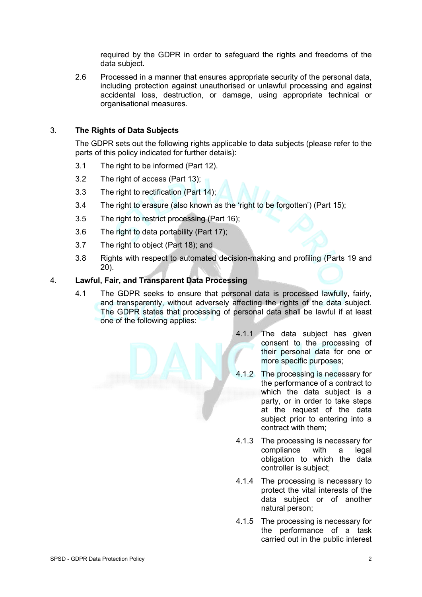required by the GDPR in order to safeguard the rights and freedoms of the data subject.

2.6 Processed in a manner that ensures appropriate security of the personal data, including protection against unauthorised or unlawful processing and against accidental loss, destruction, or damage, using appropriate technical or organisational measures.

# 3. **The Rights of Data Subjects**

The GDPR sets out the following rights applicable to data subjects (please refer to the parts of this policy indicated for further details):

- 3.1 The right to be informed (Part 12).
- 3.2 The right of access (Part 13);
- 3.3 The right to rectification (Part 14);
- 3.4 The right to erasure (also known as the 'right to be forgotten') (Part 15);
- 3.5 The right to restrict processing (Part 16);
- 3.6 The right to data portability (Part 17);
- 3.7 The right to object (Part 18); and
- 3.8 Rights with respect to automated decision-making and profiling (Parts 19 and 20).

# 4. **Lawful, Fair, and Transparent Data Processing**

- 4.1 The GDPR seeks to ensure that personal data is processed lawfully, fairly, and transparently, without adversely affecting the rights of the data subject. The GDPR states that processing of personal data shall be lawful if at least one of the following applies:
	- 4.1.1 The data subject has given consent to the processing of their personal data for one or more specific purposes;
	- 4.1.2 The processing is necessary for the performance of a contract to which the data subject is a party, or in order to take steps at the request of the data subject prior to entering into a contract with them;
	- 4.1.3 The processing is necessary for compliance with a legal obligation to which the data controller is subject;
	- 4.1.4 The processing is necessary to protect the vital interests of the data subject or of another natural person;
	- 4.1.5 The processing is necessary for the performance of a task carried out in the public interest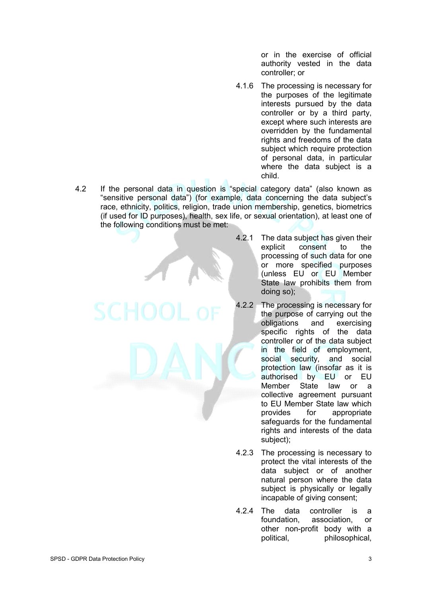or in the exercise of official authority vested in the data controller; or

- 4.1.6 The processing is necessary for the purposes of the legitimate interests pursued by the data controller or by a third party, except where such interests are overridden by the fundamental rights and freedoms of the data subject which require protection of personal data, in particular where the data subject is a child.
- 4.2 If the personal data in question is "special category data" (also known as "sensitive personal data") (for example, data concerning the data subject's race, ethnicity, politics, religion, trade union membership, genetics, biometrics (if used for ID purposes), health, sex life, or sexual orientation), at least one of the following conditions must be met:

4.2.1 The data subject has given their<br>explicit consent to the consent to the processing of such data for one or more specified purposes (unless EU or EU Member State law prohibits them from doing so);

- 4.2.2 The processing is necessary for the purpose of carrying out the obligations and exercising specific rights of the data controller or of the data subject in the field of employment, social security, and social protection law (insofar as it is authorised by EU or EU Member State law or a collective agreement pursuant to EU Member State law which provides for appropriate safeguards for the fundamental rights and interests of the data subject);
- 4.2.3 The processing is necessary to protect the vital interests of the data subject or of another natural person where the data subject is physically or legally incapable of giving consent;
- 4.2.4 The data controller is a foundation, association, or other non-profit body with a political, philosophical,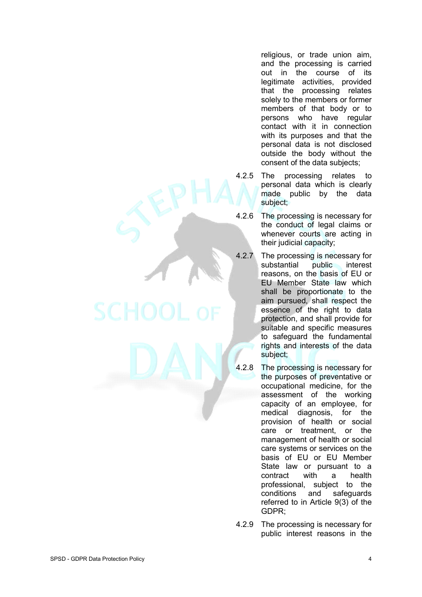religious, or trade union aim, and the processing is carried out in the course of its legitimate activities, provided that the processing relates solely to the members or former members of that body or to persons who have regular contact with it in connection with its purposes and that the personal data is not disclosed outside the body without the consent of the data subjects;

- 4.2.5 The processing relates to personal data which is clearly made public by the data subject;
- 4.2.6 The processing is necessary for the conduct of legal claims or whenever courts are acting in their judicial capacity;
- 4.2.7 The processing is necessary for substantial public interest reasons, on the basis of EU or EU Member State law which shall be proportionate to the aim pursued, shall respect the essence of the right to data protection, and shall provide for suitable and specific measures to safeguard the fundamental rights and interests of the data subject;
- 4.2.8 The processing is necessary for the purposes of preventative or occupational medicine, for the assessment of the working capacity of an employee, for medical diagnosis, for the provision of health or social care or treatment, or the management of health or social care systems or services on the basis of EU or EU Member State law or pursuant to a contract with a health professional, subject to the conditions and safeguards referred to in Article 9(3) of the GDPR;
- 4.2.9 The processing is necessary for public interest reasons in the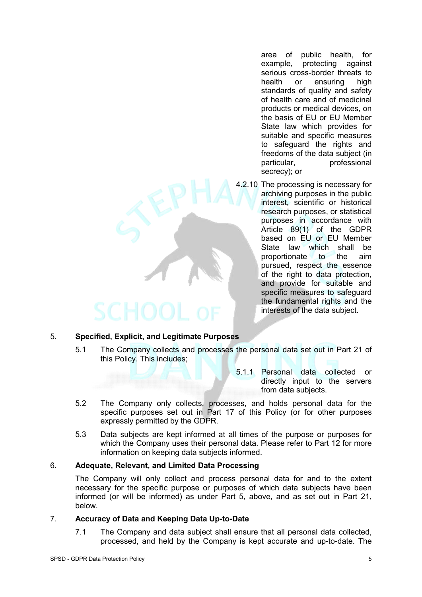area of public health, for example, protecting against serious cross-border threats to<br>health or ensuring high health or ensuring standards of quality and safety of health care and of medicinal products or medical devices, on the basis of EU or EU Member State law which provides for suitable and specific measures to safeguard the rights and freedoms of the data subject (in particular, professional secrecy); or

4.2.10 The processing is necessary for archiving purposes in the public interest, scientific or historical research purposes, or statistical purposes in accordance with Article 89(1) of the GDPR based on EU or EU Member<br>State law which shall be which shall be proportionate to the aim pursued, respect the essence of the right to data protection, and provide for suitable and specific measures to safeguard the fundamental rights and the interests of the data subject.

# 5. **Specified, Explicit, and Legitimate Purposes**

- 5.1 The Company collects and processes the personal data set out in Part 21 of this Policy. This includes;
	- 5.1.1 Personal data collected or directly input to the servers from data subjects.
- 5.2 The Company only collects, processes, and holds personal data for the specific purposes set out in Part 17 of this Policy (or for other purposes expressly permitted by the GDPR.
- 5.3 Data subjects are kept informed at all times of the purpose or purposes for which the Company uses their personal data. Please refer to Part 12 for more information on keeping data subjects informed.

# 6. **Adequate, Relevant, and Limited Data Processing**

The Company will only collect and process personal data for and to the extent necessary for the specific purpose or purposes of which data subjects have been informed (or will be informed) as under Part 5, above, and as set out in Part 21, below.

#### 7. **Accuracy of Data and Keeping Data Up-to-Date**

7.1 The Company and data subject shall ensure that all personal data collected, processed, and held by the Company is kept accurate and up-to-date. The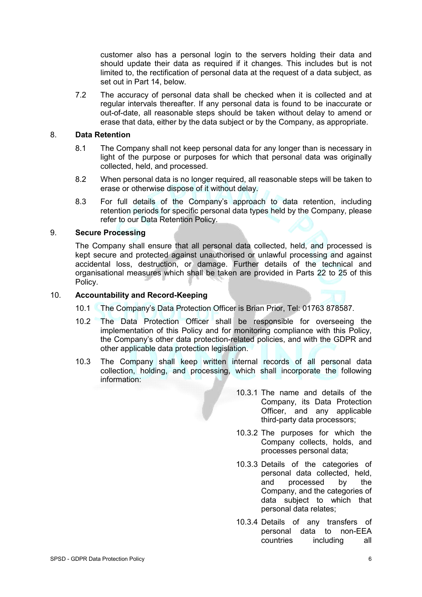customer also has a personal login to the servers holding their data and should update their data as required if it changes. This includes but is not limited to, the rectification of personal data at the request of a data subject, as set out in Part 14, below.

7.2 The accuracy of personal data shall be checked when it is collected and at regular intervals thereafter. If any personal data is found to be inaccurate or out-of-date, all reasonable steps should be taken without delay to amend or erase that data, either by the data subject or by the Company, as appropriate.

#### 8. **Data Retention**

- 8.1 The Company shall not keep personal data for any longer than is necessary in light of the purpose or purposes for which that personal data was originally collected, held, and processed.
- 8.2 When personal data is no longer required, all reasonable steps will be taken to erase or otherwise dispose of it without delay.
- 8.3 For full details of the Company's approach to data retention, including retention periods for specific personal data types held by the Company, please refer to our Data Retention Policy.

#### 9. **Secure Processing**

The Company shall ensure that all personal data collected, held, and processed is kept secure and protected against unauthorised or unlawful processing and against accidental loss, destruction, or damage. Further details of the technical and organisational measures which shall be taken are provided in Parts 22 to 25 of this Policy.

#### 10. **Accountability and Record-Keeping**

- 10.1 The Company's Data Protection Officer is Brian Prior, Tel: 01763 878587.
- 10.2 The Data Protection Officer shall be responsible for overseeing the implementation of this Policy and for monitoring compliance with this Policy, the Company's other data protection-related policies, and with the GDPR and other applicable data protection legislation.
- 10.3 The Company shall keep written internal records of all personal data collection, holding, and processing, which shall incorporate the following information:
	- 10.3.1 The name and details of the Company, its Data Protection Officer, and any applicable third-party data processors;
	- 10.3.2 The purposes for which the Company collects, holds, and processes personal data;
	- 10.3.3 Details of the categories of personal data collected, held, and processed by the Company, and the categories of data subject to which that personal data relates;
	- 10.3.4 Details of any transfers of personal data to non-EEA countries including all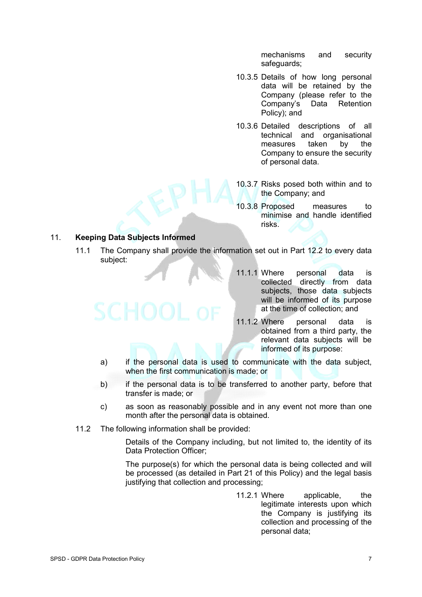mechanisms and security safeguards;

- 10.3.5 Details of how long personal data will be retained by the Company (please refer to the Company's Data Retention Policy); and
- 10.3.6 Detailed descriptions of all technical and organisational measures taken by the Company to ensure the security of personal data.
- 10.3.7 Risks posed both within and to the Company; and
- 10.3.8 Proposed measures to minimise and handle identified risks.

# 11. **Keeping Data Subjects Informed**

- 11.1 The Company shall provide the information set out in Part 12.2 to every data subject:
	- 11.1.1 Where personal data is collected directly from data subjects, those data subjects will be informed of its purpose at the time of collection; and
	- 11.1.2 Where personal data is obtained from a third party, the relevant data subjects will be informed of its purpose:
	- a) if the personal data is used to communicate with the data subject, when the first communication is made; or
	- b) if the personal data is to be transferred to another party, before that transfer is made; or
	- c) as soon as reasonably possible and in any event not more than one month after the personal data is obtained.
- 11.2 The following information shall be provided:

Details of the Company including, but not limited to, the identity of its Data Protection Officer;

The purpose(s) for which the personal data is being collected and will be processed (as detailed in Part 21 of this Policy) and the legal basis justifying that collection and processing;

> 11.2.1 Where applicable, the legitimate interests upon which the Company is justifying its collection and processing of the personal data;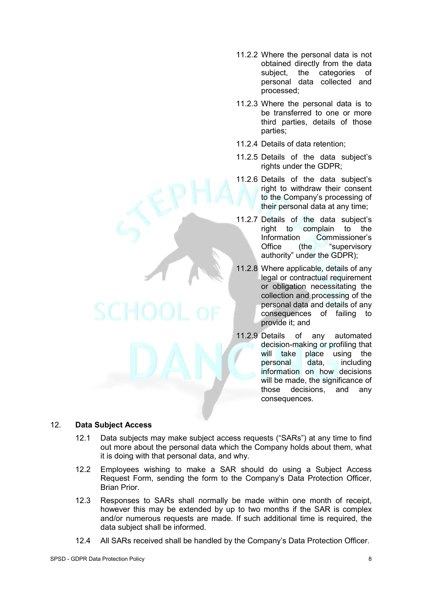- 11.2.2 Where the personal data is not obtained directly from the data subject, the categories of personal data collected and processed;
- 11.2.3 Where the personal data is to be transferred to one or more third parties, details of those parties;
- 11.2.4 Details of data retention;
- 11.2.5 Details of the data subject's rights under the GDPR;
- 11.2.6 Details of the data subject's right to withdraw their consent to the Company's processing of their personal data at any time;
- 11.2.7 Details of the data subject's right to complain to the Information Commissioner's<br>Office (the "supervisory Office (the "supervisory authority" under the GDPR);
- 11.2.8 Where applicable, details of any legal or contractual requirement or obligation necessitating the collection and processing of the personal data and details of any consequences of failing to provide it; and
- 11.2.9 Details of any automated decision-making or profiling that will take place using the personal data, including information on how decisions will be made, the significance of those decisions, and any consequences.

# 12. **Data Subject Access**

- 12.1 Data subjects may make subject access requests ("SARs") at any time to find out more about the personal data which the Company holds about them, what it is doing with that personal data, and why.
- 12.2 Employees wishing to make a SAR should do using a Subject Access Request Form, sending the form to the Company's Data Protection Officer, Brian Prior.
- 12.3 Responses to SARs shall normally be made within one month of receipt, however this may be extended by up to two months if the SAR is complex and/or numerous requests are made. If such additional time is required, the data subject shall be informed.
- 12.4 All SARs received shall be handled by the Company's Data Protection Officer.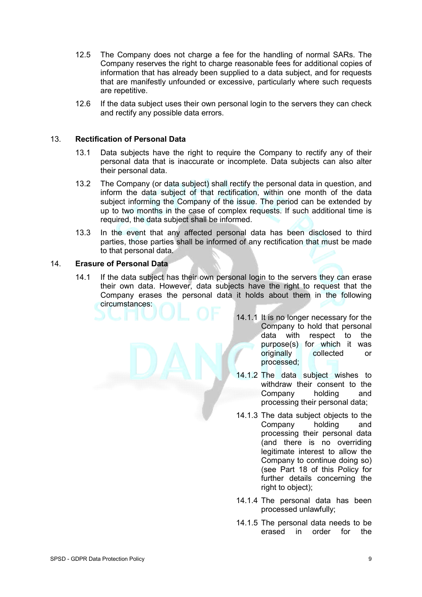- 12.5 The Company does not charge a fee for the handling of normal SARs. The Company reserves the right to charge reasonable fees for additional copies of information that has already been supplied to a data subject, and for requests that are manifestly unfounded or excessive, particularly where such requests are repetitive.
- 12.6 If the data subject uses their own personal login to the servers they can check and rectify any possible data errors.

# 13. **Rectification of Personal Data**

- 13.1 Data subjects have the right to require the Company to rectify any of their personal data that is inaccurate or incomplete. Data subjects can also alter their personal data.
- 13.2 The Company (or data subject) shall rectify the personal data in question, and inform the data subject of that rectification, within one month of the data subject informing the Company of the issue. The period can be extended by up to two months in the case of complex requests. If such additional time is required, the data subject shall be informed.
- 13.3 In the event that any affected personal data has been disclosed to third parties, those parties shall be informed of any rectification that must be made to that personal data.

# 14. **Erasure of Personal Data**

- 14.1 If the data subject has their own personal login to the servers they can erase their own data. However, data subjects have the right to request that the Company erases the personal data it holds about them in the following circumstances:
	- 14.1.1 It is no longer necessary for the Company to hold that personal data with respect to the purpose(s) for which it was originally collected or processed;
	- 14.1.2 The data subject wishes to withdraw their consent to the Company holding and processing their personal data;
	- 14.1.3 The data subject objects to the Company holding and processing their personal data (and there is no overriding legitimate interest to allow the Company to continue doing so) (see Part 18 of this Policy for further details concerning the right to object);
	- 14.1.4 The personal data has been processed unlawfully;
	- 14.1.5 The personal data needs to be erased in order for the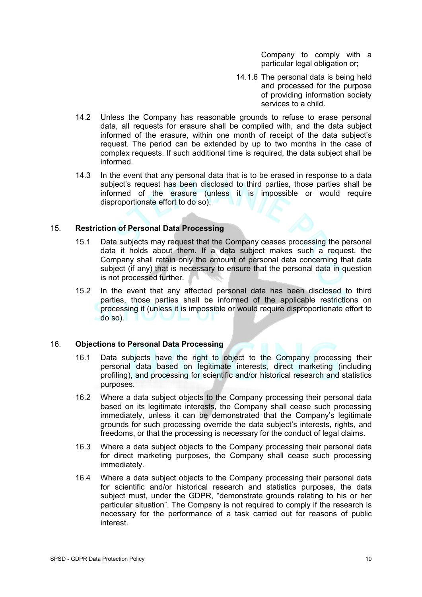Company to comply with a particular legal obligation or;

- 14.1.6 The personal data is being held and processed for the purpose of providing information society services to a child.
- 14.2 Unless the Company has reasonable grounds to refuse to erase personal data, all requests for erasure shall be complied with, and the data subject informed of the erasure, within one month of receipt of the data subject's request. The period can be extended by up to two months in the case of complex requests. If such additional time is required, the data subject shall be informed.
- 14.3 In the event that any personal data that is to be erased in response to a data subject's request has been disclosed to third parties, those parties shall be informed of the erasure (unless it is impossible or would require disproportionate effort to do so).

# 15. **Restriction of Personal Data Processing**

- 15.1 Data subjects may request that the Company ceases processing the personal data it holds about them. If a data subject makes such a request, the Company shall retain only the amount of personal data concerning that data subject (if any) that is necessary to ensure that the personal data in question is not processed further.
- 15.2 In the event that any affected personal data has been disclosed to third parties, those parties shall be informed of the applicable restrictions on processing it (unless it is impossible or would require disproportionate effort to do so).

#### 16. **Objections to Personal Data Processing**

- 16.1 Data subjects have the right to object to the Company processing their personal data based on legitimate interests, direct marketing (including profiling), and processing for scientific and/or historical research and statistics purposes.
- 16.2 Where a data subject objects to the Company processing their personal data based on its legitimate interests, the Company shall cease such processing immediately, unless it can be demonstrated that the Company's legitimate grounds for such processing override the data subject's interests, rights, and freedoms, or that the processing is necessary for the conduct of legal claims.
- 16.3 Where a data subject objects to the Company processing their personal data for direct marketing purposes, the Company shall cease such processing immediately.
- 16.4 Where a data subject objects to the Company processing their personal data for scientific and/or historical research and statistics purposes, the data subject must, under the GDPR, "demonstrate grounds relating to his or her particular situation". The Company is not required to comply if the research is necessary for the performance of a task carried out for reasons of public interest.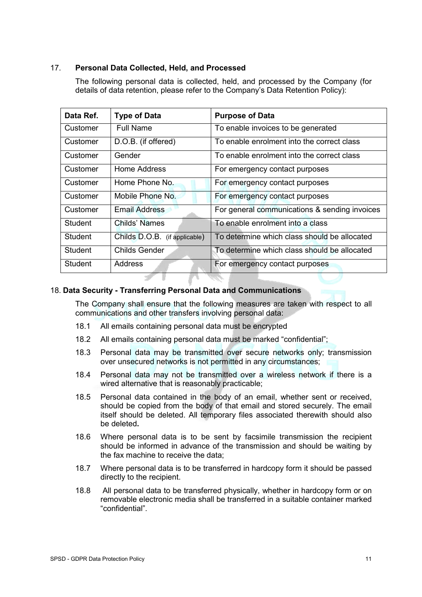# 17. **Personal Data Collected, Held, and Processed**

The following personal data is collected, held, and processed by the Company (for details of data retention, please refer to the Company's Data Retention Policy):

| Data Ref.      | <b>Type of Data</b>           | <b>Purpose of Data</b>                        |
|----------------|-------------------------------|-----------------------------------------------|
| Customer       | <b>Full Name</b>              | To enable invoices to be generated            |
| Customer       | D.O.B. (if offered)           | To enable enrolment into the correct class    |
| Customer       | Gender                        | To enable enrolment into the correct class    |
| Customer       | Home Address                  | For emergency contact purposes                |
| Customer       | Home Phone No.                | For emergency contact purposes                |
| Customer       | Mobile Phone No.              | For emergency contact purposes                |
| Customer       | <b>Email Address</b>          | For general communications & sending invoices |
| Student        | Childs' Names                 | To enable enrolment into a class              |
| Student        | Childs D.O.B. (if applicable) | To determine which class should be allocated  |
| <b>Student</b> | <b>Childs Gender</b>          | To determine which class should be allocated  |
| <b>Student</b> | Address                       | For emergency contact purposes                |

# 18. **Data Security - Transferring Personal Data and Communications**

The Company shall ensure that the following measures are taken with respect to all communications and other transfers involving personal data:

- 18.1 All emails containing personal data must be encrypted
- 18.2 All emails containing personal data must be marked "confidential";
- 18.3 Personal data may be transmitted over secure networks only; transmission over unsecured networks is not permitted in any circumstances;
- 18.4 Personal data may not be transmitted over a wireless network if there is a wired alternative that is reasonably practicable;
- 18.5 Personal data contained in the body of an email, whether sent or received, should be copied from the body of that email and stored securely. The email itself should be deleted. All temporary files associated therewith should also be deleted**.**
- 18.6 Where personal data is to be sent by facsimile transmission the recipient should be informed in advance of the transmission and should be waiting by the fax machine to receive the data;
- 18.7 Where personal data is to be transferred in hardcopy form it should be passed directly to the recipient.
- 18.8 All personal data to be transferred physically, whether in hardcopy form or on removable electronic media shall be transferred in a suitable container marked "confidential".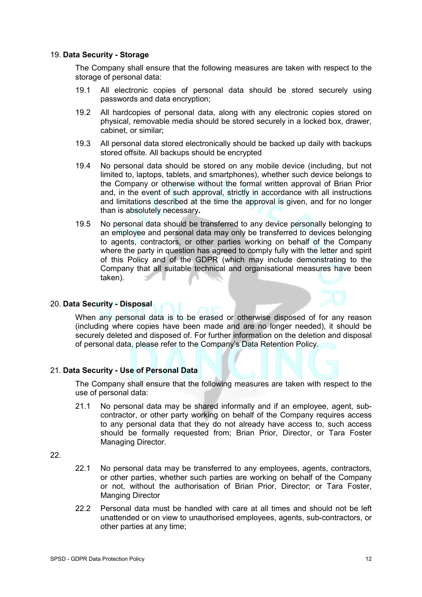#### 19. **Data Security - Storage**

The Company shall ensure that the following measures are taken with respect to the storage of personal data:

- 19.1 All electronic copies of personal data should be stored securely using passwords and data encryption;
- 19.2 All hardcopies of personal data, along with any electronic copies stored on physical, removable media should be stored securely in a locked box, drawer, cabinet, or similar;
- 19.3 All personal data stored electronically should be backed up daily with backups stored offsite. All backups should be encrypted
- 19.4 No personal data should be stored on any mobile device (including, but not limited to, laptops, tablets, and smartphones), whether such device belongs to the Company or otherwise without the formal written approval of Brian Prior and, in the event of such approval, strictly in accordance with all instructions and limitations described at the time the approval is given, and for no longer than is absolutely necessary**.**
- 19.5 No personal data should be transferred to any device personally belonging to an employee and personal data may only be transferred to devices belonging to agents, contractors, or other parties working on behalf of the Company where the party in question has agreed to comply fully with the letter and spirit of this Policy and of the GDPR (which may include demonstrating to the Company that all suitable technical and organisational measures have been taken).

#### 20. **Data Security - Disposal**

When any personal data is to be erased or otherwise disposed of for any reason (including where copies have been made and are no longer needed), it should be securely deleted and disposed of. For further information on the deletion and disposal of personal data, please refer to the Company's Data Retention Policy.

#### 21. **Data Security - Use of Personal Data**

The Company shall ensure that the following measures are taken with respect to the use of personal data:

21.1 No personal data may be shared informally and if an employee, agent, subcontractor, or other party working on behalf of the Company requires access to any personal data that they do not already have access to, such access should be formally requested from; Brian Prior, Director, or Tara Foster Managing Director.

22.

- 22.1 No personal data may be transferred to any employees, agents, contractors, or other parties, whether such parties are working on behalf of the Company or not, without the authorisation of Brian Prior, Director; or Tara Foster, Manging Director
- 22.2 Personal data must be handled with care at all times and should not be left unattended or on view to unauthorised employees, agents, sub-contractors, or other parties at any time;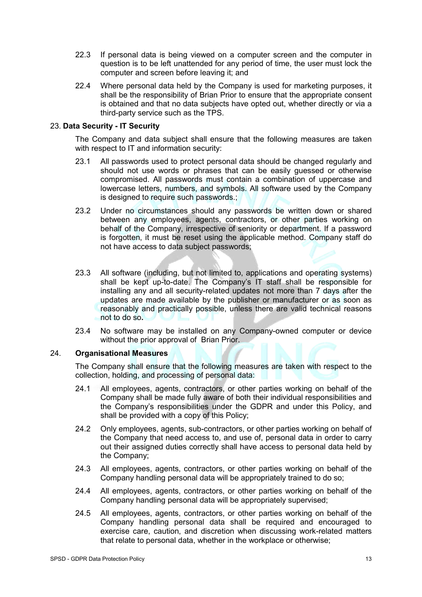- 22.3 If personal data is being viewed on a computer screen and the computer in question is to be left unattended for any period of time, the user must lock the computer and screen before leaving it; and
- 22.4 Where personal data held by the Company is used for marketing purposes, it shall be the responsibility of Brian Prior to ensure that the appropriate consent is obtained and that no data subjects have opted out, whether directly or via a third-party service such as the TPS.

# 23. **Data Security - IT Security**

The Company and data subject shall ensure that the following measures are taken with respect to IT and information security:

- 23.1 All passwords used to protect personal data should be changed regularly and should not use words or phrases that can be easily guessed or otherwise compromised. All passwords must contain a combination of uppercase and lowercase letters, numbers, and symbols. All software used by the Company is designed to require such passwords.;
- 23.2 Under no circumstances should any passwords be written down or shared between any employees, agents, contractors, or other parties working on behalf of the Company, irrespective of seniority or department. If a password is forgotten, it must be reset using the applicable method. Company staff do not have access to data subject passwords;
- 23.3 All software (including, but not limited to, applications and operating systems) shall be kept up-to-date. The Company's IT staff shall be responsible for installing any and all security-related updates not more than 7 days after the updates are made available by the publisher or manufacturer or as soon as reasonably and practically possible, unless there are valid technical reasons not to do so**.**
- 23.4 No software may be installed on any Company-owned computer or device without the prior approval of Brian Prior.

# 24. **Organisational Measures**

The Company shall ensure that the following measures are taken with respect to the collection, holding, and processing of personal data:

- 24.1 All employees, agents, contractors, or other parties working on behalf of the Company shall be made fully aware of both their individual responsibilities and the Company's responsibilities under the GDPR and under this Policy, and shall be provided with a copy of this Policy;
- 24.2 Only employees, agents, sub-contractors, or other parties working on behalf of the Company that need access to, and use of, personal data in order to carry out their assigned duties correctly shall have access to personal data held by the Company;
- 24.3 All employees, agents, contractors, or other parties working on behalf of the Company handling personal data will be appropriately trained to do so;
- 24.4 All employees, agents, contractors, or other parties working on behalf of the Company handling personal data will be appropriately supervised;
- 24.5 All employees, agents, contractors, or other parties working on behalf of the Company handling personal data shall be required and encouraged to exercise care, caution, and discretion when discussing work-related matters that relate to personal data, whether in the workplace or otherwise;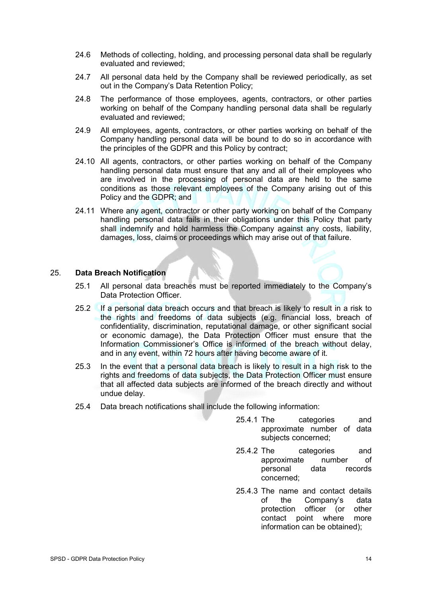- 24.6 Methods of collecting, holding, and processing personal data shall be regularly evaluated and reviewed;
- 24.7 All personal data held by the Company shall be reviewed periodically, as set out in the Company's Data Retention Policy;
- 24.8 The performance of those employees, agents, contractors, or other parties working on behalf of the Company handling personal data shall be regularly evaluated and reviewed;
- 24.9 All employees, agents, contractors, or other parties working on behalf of the Company handling personal data will be bound to do so in accordance with the principles of the GDPR and this Policy by contract;
- 24.10 All agents, contractors, or other parties working on behalf of the Company handling personal data must ensure that any and all of their employees who are involved in the processing of personal data are held to the same conditions as those relevant employees of the Company arising out of this Policy and the GDPR; and
- 24.11 Where any agent, contractor or other party working on behalf of the Company handling personal data fails in their obligations under this Policy that party shall indemnify and hold harmless the Company against any costs, liability, damages, loss, claims or proceedings which may arise out of that failure.

#### 25. **Data Breach Notification**

- 25.1 All personal data breaches must be reported immediately to the Company's Data Protection Officer.
- 25.2 If a personal data breach occurs and that breach is likely to result in a risk to the rights and freedoms of data subjects (e.g. financial loss, breach of confidentiality, discrimination, reputational damage, or other significant social or economic damage), the Data Protection Officer must ensure that the Information Commissioner's Office is informed of the breach without delay, and in any event, within 72 hours after having become aware of it.
- 25.3 In the event that a personal data breach is likely to result in a high risk to the rights and freedoms of data subjects, the Data Protection Officer must ensure that all affected data subjects are informed of the breach directly and without undue delay.
- 25.4 Data breach notifications shall include the following information:
	- 25.4.1 The categories and approximate number of data subjects concerned;
	- 25.4.2 The categories and approximate number of personal data records concerned;
	- 25.4.3 The name and contact details of the Company's data protection officer (or other contact point where more information can be obtained);